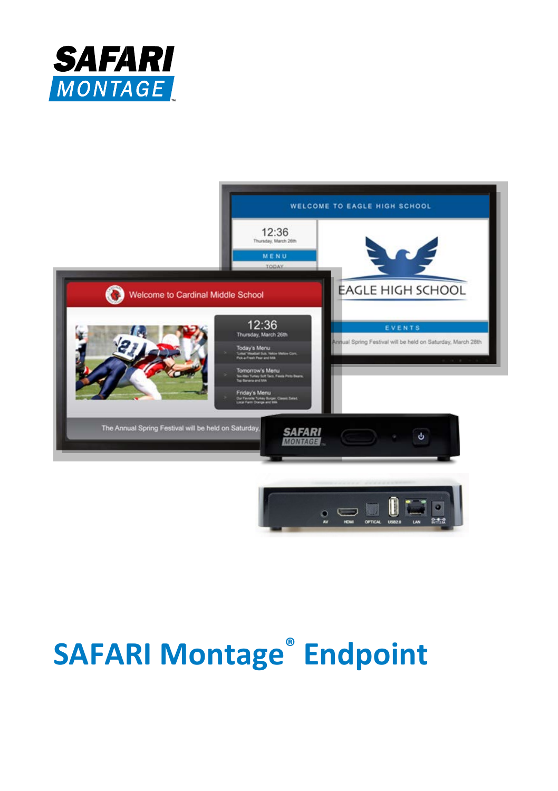



# **SAFARI Montage® Endpoint**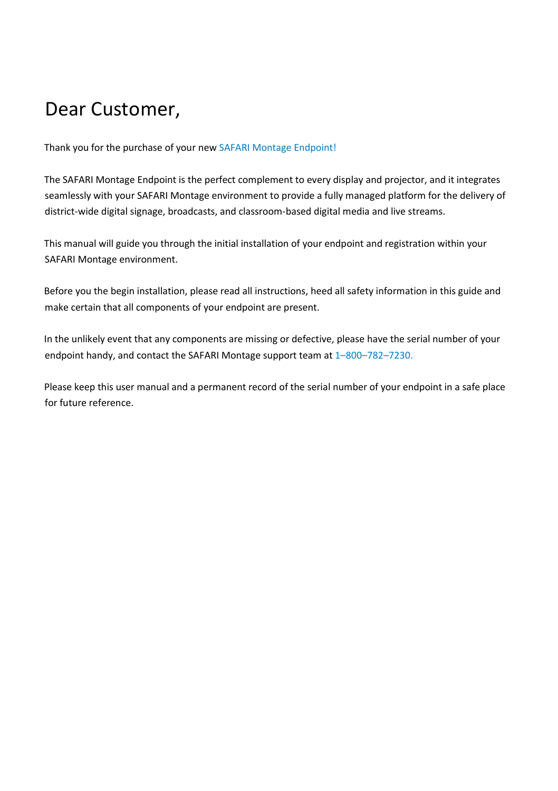## Dear Customer,

Thank you for the purchase of your new SAFARI Montage Endpoint!

The SAFARI Montage Endpoint is the perfect complement to every display and projector, and it integrates seamlessly with your SAFARI Montage environment to provide a fully managed platform for the delivery of district-wide digital signage, broadcasts, and classroom-based digital media and live streams.

This manual will guide you through the initial installation of your endpoint and registration within your SAFARI Montage environment.

Before you the begin installation, please read all instructions, heed all safety information in this guide and make certain that all components of your endpoint are present.

In the unlikely event that any components are missing or defective, please have the serial number of your endpoint handy, and contact the SAFARI Montage support team at 1-800-782-7230.

Please keep this user manual and a permanent record of the serial number of your endpoint in a safe place for future reference.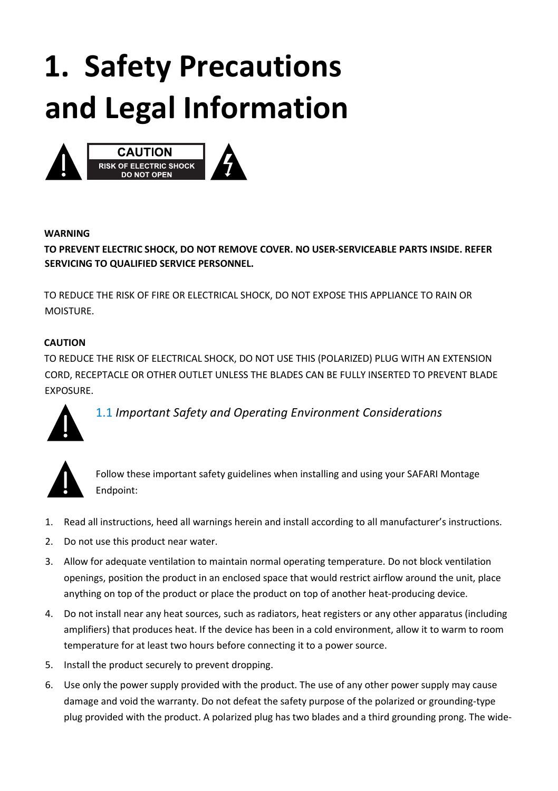# **1. Safety Precautions and Legal Information**



#### **WARNING**

#### **TO PREVENT ELECTRIC SHOCK, DO NOT REMOVE COVER. NO USER-SERVICEABLE PARTS INSIDE. REFER SERVICING TO QUALIFIED SERVICE PERSONNEL.**

TO REDUCE THE RISK OF FIRE OR ELECTRICAL SHOCK, DO NOT EXPOSE THIS APPLIANCE TO RAIN OR MOISTURE.

#### **CAUTION**

TO REDUCE THE RISK OF ELECTRICAL SHOCK, DO NOT USE THIS (POLARIZED) PLUG WITH AN EXTENSION CORD, RECEPTACLE OR OTHER OUTLET UNLESS THE BLADES CAN BE FULLY INSERTED TO PREVENT BLADE EXPOSURE.



1.1 *Important Safety and Operating Environment Considerations*



Follow these important safety guidelines when installing and using your SAFARI Montage Endpoint:

- 1. Read all instructions, heed all warnings herein and install according to all manufacturer's instructions.
- 2. Do not use this product near water.
- 3. Allow for adequate ventilation to maintain normal operating temperature. Do not block ventilation openings, position the product in an enclosed space that would restrict airflow around the unit, place anything on top of the product or place the product on top of another heat-producing device.
- 4. Do not install near any heat sources, such as radiators, heat registers or any other apparatus (including amplifiers) that produces heat. If the device has been in a cold environment, allow it to warm to room temperature for at least two hours before connecting it to a power source.
- 5. Install the product securely to prevent dropping.
- 6. Use only the power supply provided with the product. The use of any other power supply may cause damage and void the warranty. Do not defeat the safety purpose of the polarized or grounding-type plug provided with the product. A polarized plug has two blades and a third grounding prong. The wide-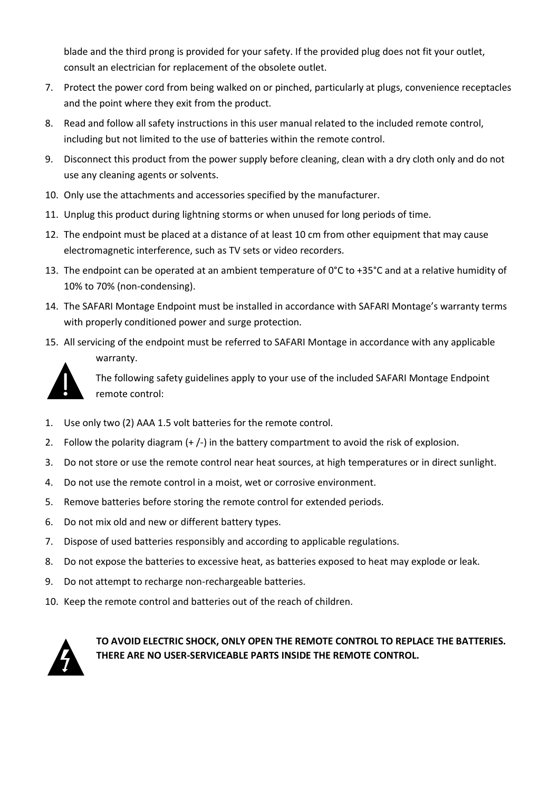blade and the third prong is provided for your safety. If the provided plug does not fit your outlet, consult an electrician for replacement of the obsolete outlet.

- 7. Protect the power cord from being walked on or pinched, particularly at plugs, convenience receptacles and the point where they exit from the product.
- 8. Read and follow all safety instructions in this user manual related to the included remote control, including but not limited to the use of batteries within the remote control.
- 9. Disconnect this product from the power supply before cleaning, clean with a dry cloth only and do not use any cleaning agents or solvents.
- 10. Only use the attachments and accessories specified by the manufacturer.
- 11. Unplug this product during lightning storms or when unused for long periods of time.
- 12. The endpoint must be placed at a distance of at least 10 cm from other equipment that may cause electromagnetic interference, such as TV sets or video recorders.
- 13. The endpoint can be operated at an ambient temperature of 0°C to +35°C and at a relative humidity of 10% to 70% (non-condensing).
- 14. The SAFARI Montage Endpoint must be installed in accordance with SAFARI Montage's warranty terms with properly conditioned power and surge protection.
- 15. All servicing of the endpoint must be referred to SAFARI Montage in accordance with any applicable warranty.



The following safety guidelines apply to your use of the included SAFARI Montage Endpoint remote control:

- 1. Use only two (2) AAA 1.5 volt batteries for the remote control.
- 2. Follow the polarity diagram (+ /-) in the battery compartment to avoid the risk of explosion.
- 3. Do not store or use the remote control near heat sources, at high temperatures or in direct sunlight.
- 4. Do not use the remote control in a moist, wet or corrosive environment.
- 5. Remove batteries before storing the remote control for extended periods.
- 6. Do not mix old and new or different battery types.
- 7. Dispose of used batteries responsibly and according to applicable regulations.
- 8. Do not expose the batteries to excessive heat, as batteries exposed to heat may explode or leak.
- 9. Do not attempt to recharge non-rechargeable batteries.
- 10. Keep the remote control and batteries out of the reach of children.



**TO AVOID ELECTRIC SHOCK, ONLY OPEN THE REMOTE CONTROL TO REPLACE THE BATTERIES. THERE ARE NO USER-SERVICEABLE PARTS INSIDE THE REMOTE CONTROL.**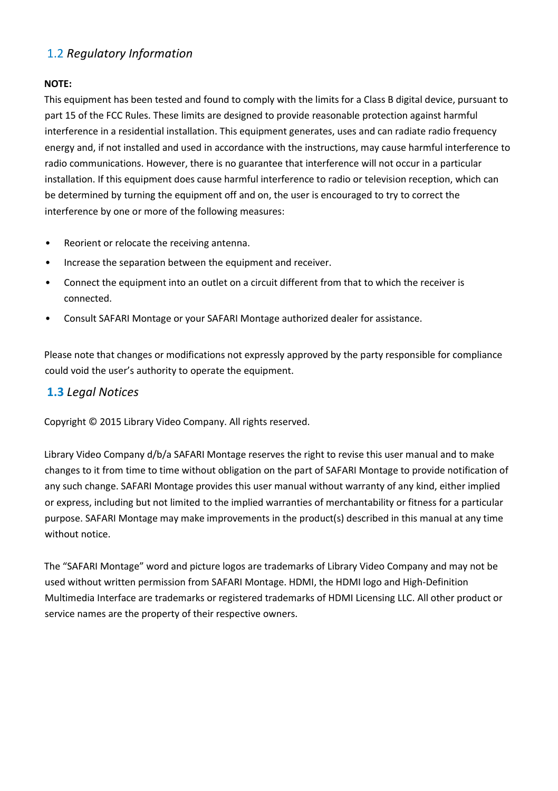### 1.2 *Regulatory Information*

#### **NOTE:**

This equipment has been tested and found to comply with the limits for a Class B digital device, pursuant to part 15 of the FCC Rules. These limits are designed to provide reasonable protection against harmful interference in a residential installation. This equipment generates, uses and can radiate radio frequency energy and, if not installed and used in accordance with the instructions, may cause harmful interference to radio communications. However, there is no guarantee that interference will not occur in a particular installation. If this equipment does cause harmful interference to radio or television reception, which can be determined by turning the equipment off and on, the user is encouraged to try to correct the interference by one or more of the following measures:

- Reorient or relocate the receiving antenna.
- Increase the separation between the equipment and receiver.
- Connect the equipment into an outlet on a circuit different from that to which the receiver is connected.
- Consult SAFARI Montage or your SAFARI Montage authorized dealer for assistance.

Please note that changes or modifications not expressly approved by the party responsible for compliance could void the user's authority to operate the equipment.

#### **1.3** *Legal Notices*

Copyright © 2015 Library Video Company. All rights reserved.

Library Video Company d/b/a SAFARI Montage reserves the right to revise this user manual and to make changes to it from time to time without obligation on the part of SAFARI Montage to provide notification of any such change. SAFARI Montage provides this user manual without warranty of any kind, either implied or express, including but not limited to the implied warranties of merchantability or fitness for a particular purpose. SAFARI Montage may make improvements in the product(s) described in this manual at any time without notice.

The "SAFARI Montage" word and picture logos are trademarks of Library Video Company and may not be used without written permission from SAFARI Montage. HDMI, the HDMI logo and High-Definition Multimedia Interface are trademarks or registered trademarks of HDMI Licensing LLC. All other product or service names are the property of their respective owners.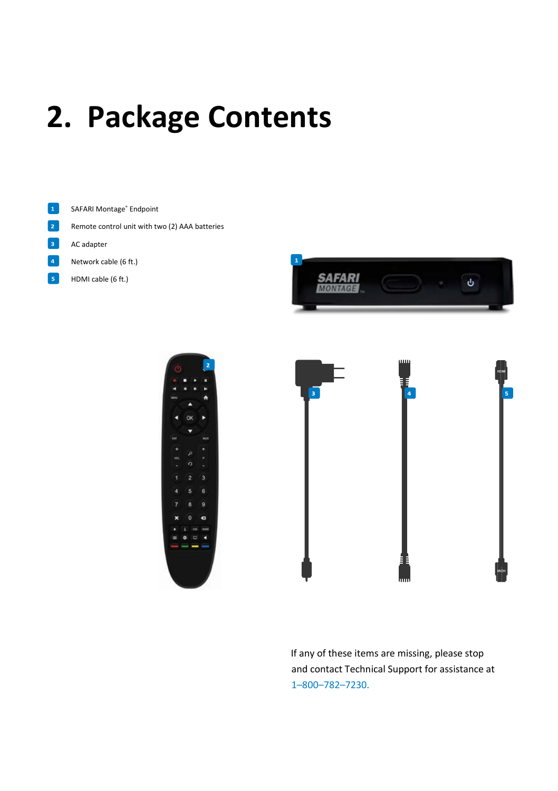# **2. Package Contents**



- $\overline{2}$ Remote control unit with two (2) AAA batteries
- R AC adapter
- Network cable (6 ft.)
- $\overline{\mathbf{5}}$ HDMI cable (6 ft.)







If any of these items are missing, please stop and contact Technical Support for assistance at 1–800–782–7230.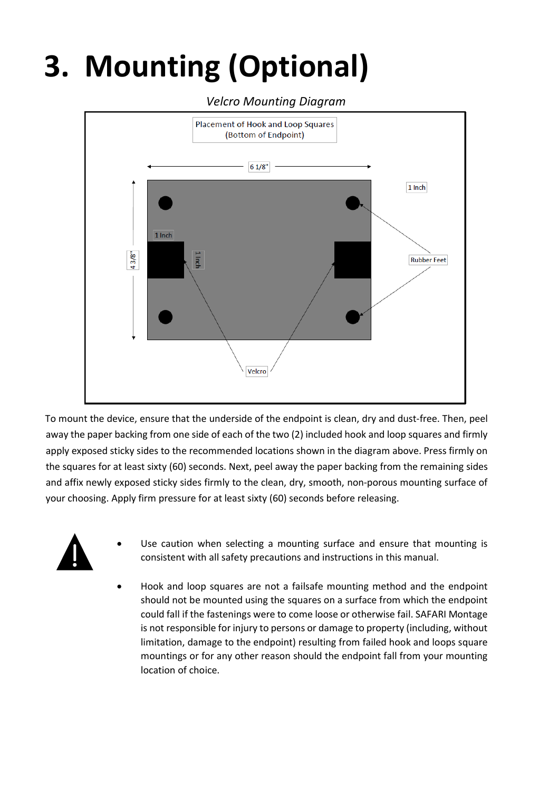# **3. Mounting (Optional)**



To mount the device, ensure that the underside of the endpoint is clean, dry and dust-free. Then, peel away the paper backing from one side of each of the two (2) included hook and loop squares and firmly apply exposed sticky sides to the recommended locations shown in the diagram above. Press firmly on the squares for at least sixty (60) seconds. Next, peel away the paper backing from the remaining sides and affix newly exposed sticky sides firmly to the clean, dry, smooth, non-porous mounting surface of your choosing. Apply firm pressure for at least sixty (60) seconds before releasing.



- Use caution when selecting a mounting surface and ensure that mounting is consistent with all safety precautions and instructions in this manual.
- Hook and loop squares are not a failsafe mounting method and the endpoint should not be mounted using the squares on a surface from which the endpoint could fall if the fastenings were to come loose or otherwise fail. SAFARI Montage is not responsible for injury to persons or damage to property (including, without limitation, damage to the endpoint) resulting from failed hook and loops square mountings or for any other reason should the endpoint fall from your mounting location of choice.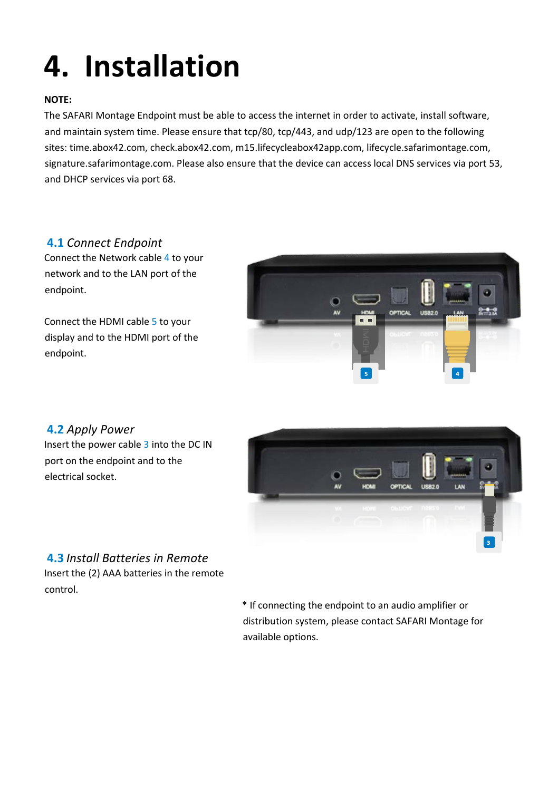# **4. Installation**

#### **NOTE:**

The SAFARI Montage Endpoint must be able to access the internet in order to activate, install software, and maintain system time. Please ensure that tcp/80, tcp/443, and udp/123 are open to the following sites: time.abox42.com, check.abox42.com, m15.lifecycleabox42app.com, lifecycle.safarimontage.com, signature.safarimontage.com. Please also ensure that the device can access local DNS services via port 53, and DHCP services via port 68.

### **4.1** *Connect Endpoint*

Connect the Network cable 4 to your network and to the LAN port of the endpoint.

Connect the HDMI cable 5 to your display and to the HDMI port of the endpoint.



### **4.2** *Apply Power*

Insert the power cable 3 into the DC IN port on the endpoint and to the electrical socket.



### **4.3** *Install Batteries in Remote*

Insert the (2) AAA batteries in the remote control.

> \* If connecting the endpoint to an audio amplifier or distribution system, please contact SAFARI Montage for available options.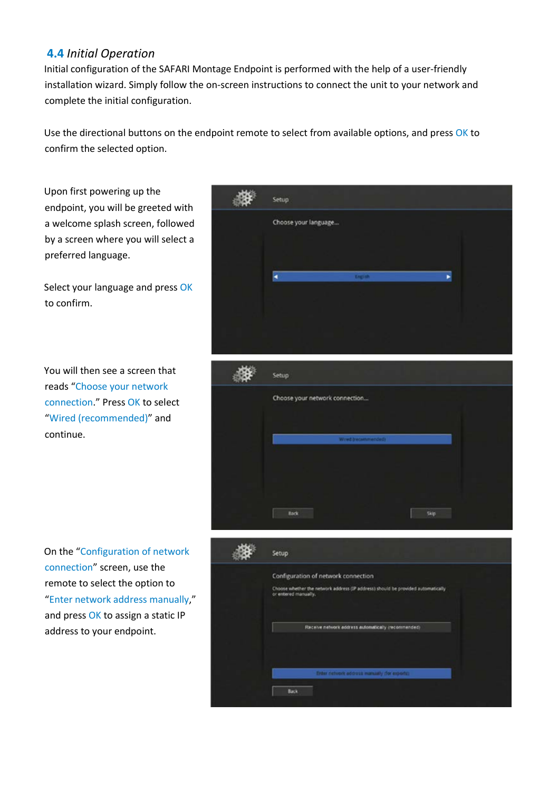#### **4.4** *Initial Operation*

Initial configuration of the SAFARI Montage Endpoint is performed with the help of a user-friendly installation wizard. Simply follow the on-screen instructions to connect the unit to your network and complete the initial configuration.

Use the directional buttons on the endpoint remote to select from available options, and press OK to confirm the selected option.

Upon first powering up the endpoint, you will be greeted with a welcome splash screen, followed by a screen where you will select a preferred language.

Select your language and press OK to confirm.

You will then see a screen that reads "Choose your network connection." Press OK to select "Wired (recommended)" and continue.

On the "Configuration of network connection" screen, use the remote to select the option to "Enter network address manually," and press OK to assign a static IP address to your endpoint.





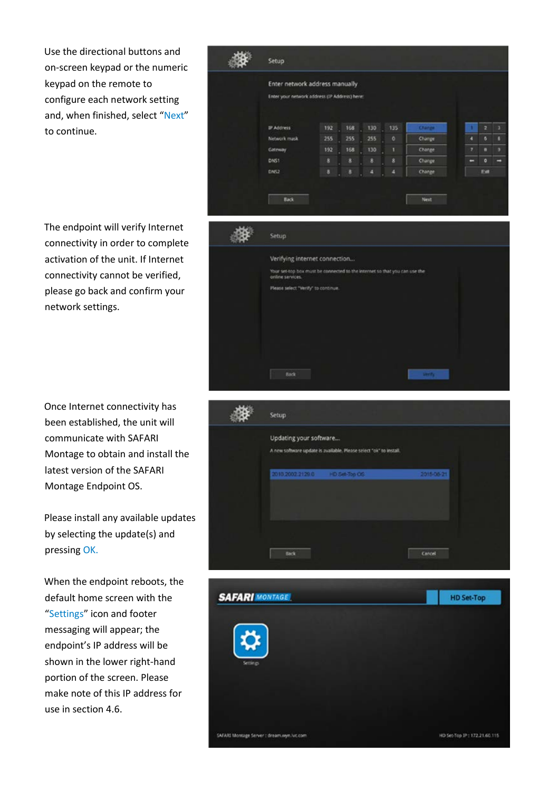Use the directional buttons and on-screen keypad or the numeric keypad on the remote to configure each network setting and, when finished, select "Next" to continue.

The endpoint will verify Internet connectivity in order to complete activation of the unit. If Internet connectivity cannot be verified, please go back and confirm your network settings.

Once Internet connectivity has been established, the unit will communicate with SAFARI Montage to obtain and install the latest version of the SAFARI Montage Endpoint OS.

Please install any available updates by selecting the update(s) and pressing OK.

When the endpoint reboots, the default home screen with the "Settings" icon and footer messaging will appear; the endpoint's IP address will be shown in the lower right-hand portion of the screen. Please make note of this IP address for use in section 4.6.



SAFARI Montage Server : dream.vyn.luc.com

HD Set-Top IP: 172.21.60.115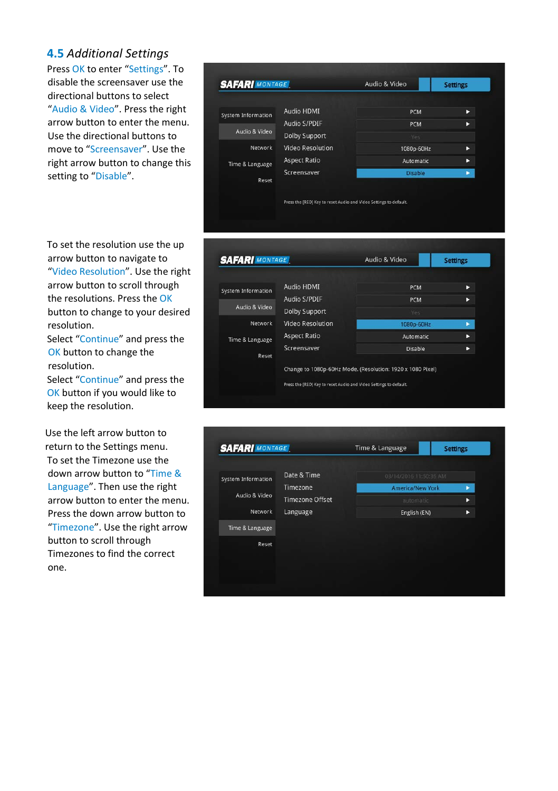#### **4.5** *Additional Settings*

Press OK to enter "Settings". To disable the screensaver use the directional buttons to select "Audio & Video". Press the right arrow button to enter the menu. Use the directional buttons to move to "Screensaver". Use the right arrow button to change this setting to "Disable".

To set the resolution use the up arrow button to navigate to "Video Resolution". Use the right arrow button to scroll through the resolutions. Press the OK button to change to your desired resolution.

Select "Continue" and press the OK button to change the resolution.

Select "Continue" and press the OK button if you would like to keep the resolution.

Use the left arrow button to return to the Settings menu. To set the Timezone use the down arrow button to "Time & Language". Then use the right arrow button to enter the menu. Press the down arrow button to "Timezone". Use the right arrow button to scroll through Timezones to find the correct one.

| <b>SAFARI MONTAGE</b>                                                             |                                                                                                                     | Audio & Video                                                         | <b>Settings</b>       |
|-----------------------------------------------------------------------------------|---------------------------------------------------------------------------------------------------------------------|-----------------------------------------------------------------------|-----------------------|
| <b>System Information</b><br>Audio & Video<br>Network<br>Time & Language<br>Reset | Audio HDMI<br>Audio S/PDIF<br><b>Dolby Support</b><br><b>Video Resolution</b><br><b>Aspect Ratio</b><br>Screensaver | PCM<br><b>PCM</b><br>Yes<br>1080p-60Hz<br>Automatic<br><b>Disable</b> | в<br>ь<br>в<br>в<br>ь |
|                                                                                   | Press the [RED] Key to reset Audio and Video Settings to default.                                                   |                                                                       |                       |
| <b>SAFARI MONTAGE</b>                                                             |                                                                                                                     |                                                                       |                       |



| <b>System Information</b> | Date & Time            | 03/14/2016 11:50:35 AM |   |
|---------------------------|------------------------|------------------------|---|
| Audio & Video             | Timezone               | America/New York       | × |
|                           | <b>Timezone Offset</b> | automatic              | D |
| Network                   | Language               | English (EN)           | в |
| Time & Language           |                        |                        |   |
| Reset                     |                        |                        |   |
|                           |                        |                        |   |
|                           |                        |                        |   |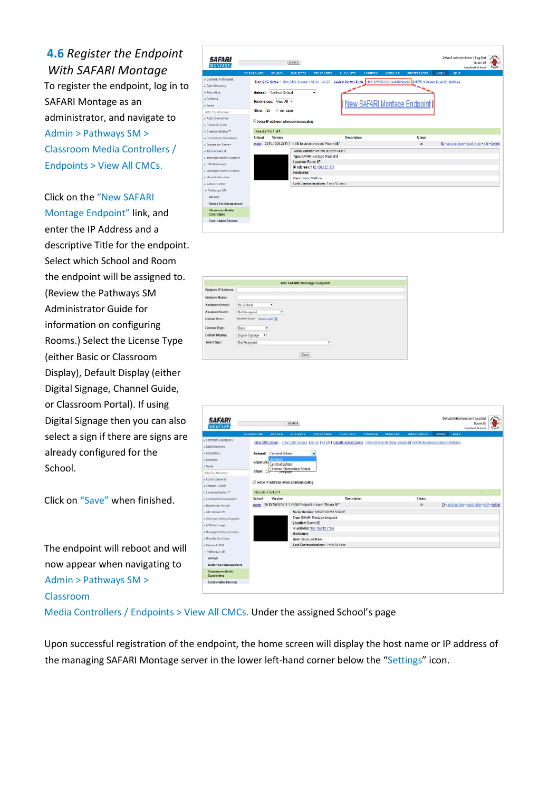**4.6** *Register the Endpoint With SAFARI Montage* To register the endpoint, log in to SAFARI Montage as an administrator, and navigate to Admin > Pathways SM > Classroom Media Controllers / Endpoints > View All CMCs.

Click on the "New SAFARI Montage Endpoint" link, and enter the IP Address and a descriptive Title for the endpoint. Select which School and Room the endpoint will be assigned to. (Review the Pathways SM Administrator Guide for information on configuring Rooms.) Select the License Type (either Basic or Classroom Display), Default Display (either Digital Signage, Channel Guide, or Classroom Portal). If using Digital Signage then you can also select a sign if there are signs are already configured for the School.

Click on "Save" when finished.

The endpoint will reboot and will now appear when navigating to Admin > Pathways SM > Classroom

trator | Leg Out<br>| Room 85 | 11<br>| Cardinal School | <sup>4</sup>190<sup>0</sup> **SAFARI** SEARCH New CMC Group | View CMC C **ALOE Sata Recover** School: Cardinal Sch Room Group: View All New SAFARI Montage Endpoint Show:  $25 - 7$  per pag **Auto Comments**  $\Omega$ .<br>Crastica Station Results 1to 1 of 1 Version gasign 2010.7009.2411.1 E SM Endpoint in room "Room 8E **Expansion Serve**  $ak$ Serial Number: M19VIL0025176431<br>Type: SAFAFI Mortage Endpoint **MS Clobal LT** .<br>» Interoperability Location: Room 8E LOR Exchi IP Address: 192.168.123.186 Managed Home / Hostiame: loode 5 **Hear Disk Hallis Betwork DVS Last Communicat** ALC M **Button Set M** Classroom Media<br>Controllers **Controllable fire** 





Media Controllers / Endpoints > View All CMCs. Under the assigned School's page

Upon successful registration of the endpoint, the home screen will display the host name or IP address of the managing SAFARI Montage server in the lower left-hand corner below the "Settings" icon.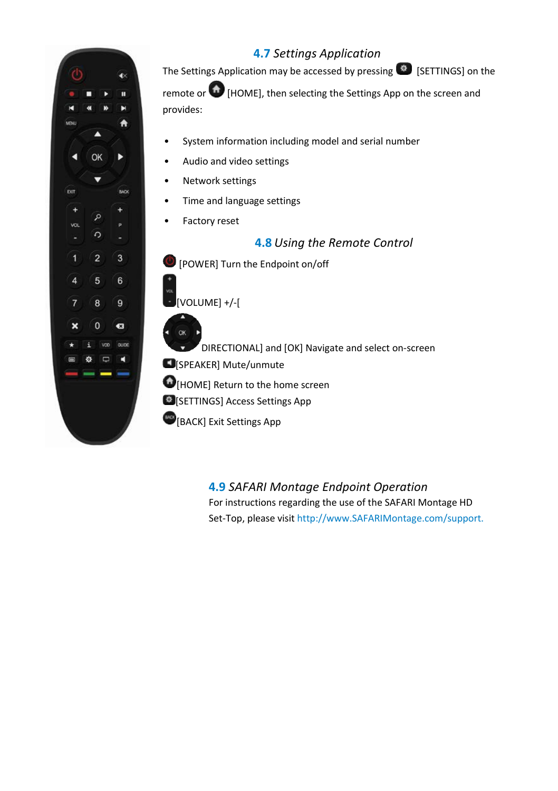### **4.7** *Settings Application*

The Settings Application may be accessed by pressing  $\bigcirc$  [SETTINGS] on the

remote or **(h)** [HOME], then selecting the Settings App on the screen and provides:

- System information including model and serial number
- Audio and video settings
- Network settings
- Time and language settings
- Factory reset

### **4.8** *Using the Remote Control*

[POWER] Turn the Endpoint on/off

 $[VOI$   $IIMFI + / -$ [

**OK** 

DIRECTIONAL] and [OK] Navigate and select on-screen

**C**[SPEAKER] Mute/unmute

[HOME] Return to the home screen

[SETTINGS] Access Settings App

**BACK**] Exit Settings App

**4.9** *SAFARI Montage Endpoint Operation* For instructions regarding the use of the SAFARI Montage HD Set-Top, please visit http://www.SAFARIMontage.com/support.



 $\hat{\bullet}$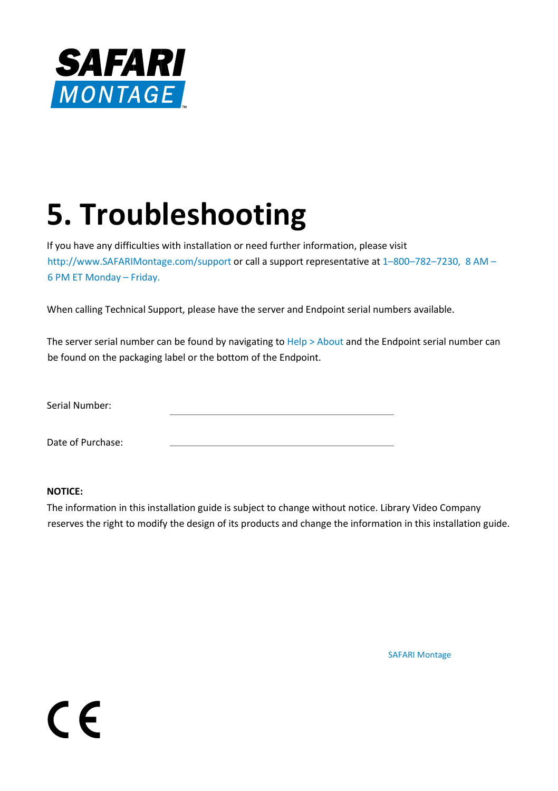

# **5. Troubleshooting**

If you have any difficulties with installation or need further information, please visit http://www.SAFARIMontage.com/support or call a support representative at 1–800–782–7230, 8 AM – 6 PM ET Monday – Friday.

When calling Technical Support, please have the server and Endpoint serial numbers available.

The server serial number can be found by navigating to Help > About and the Endpoint serial number can be found on the packaging label or the bottom of the Endpoint.

Serial Number:

Date of Purchase:

#### **NOTICE:**

 $\epsilon$ 

The information in this installation guide is subject to change without notice. Library Video Company reserves the right to modify the design of its products and change the information in this installation guide.

SAFARI Montage